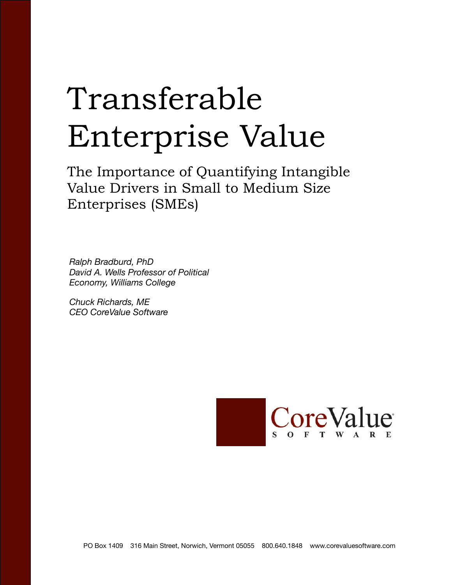# Transferable Enterprise Value

The Importance of Quantifying Intangible Value Drivers in Small to Medium Size Enterprises (SMEs)

*Ralph Bradburd, PhD David A. Wells Professor of Political Economy, Williams College*

*Chuck Richards, ME CEO CoreValue Software*

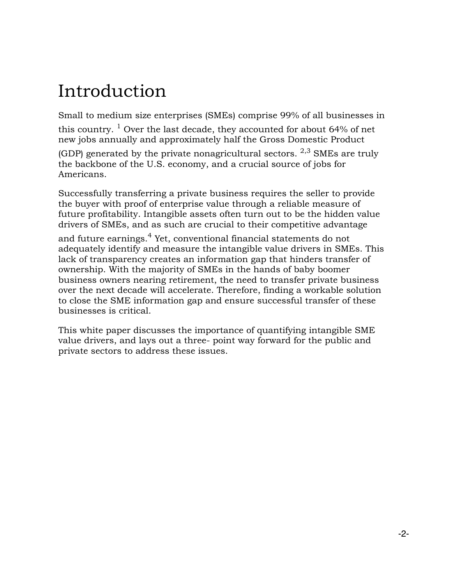## Introduction

Small to medium size enterprises (SMEs) comprise 99% of all businesses in

this country.  $1$  Over the last decade, they accounted for about 64% of net new jobs annually and approximately half the Gross Domestic Product

(GDP) generated by the private nonagricultural sectors.  $2,3$  SMEs are truly the backbone of the U.S. economy, and a crucial source of jobs for Americans.

Successfully transferring a private business requires the seller to provide the buyer with proof of enterprise value through a reliable measure of future profitability. Intangible assets often turn out to be the hidden value drivers of SMEs, and as such are crucial to their competitive advantage

and future earnings.<sup>4</sup> Yet, conventional financial statements do not adequately identify and measure the intangible value drivers in SMEs. This lack of transparency creates an information gap that hinders transfer of ownership. With the majority of SMEs in the hands of baby boomer business owners nearing retirement, the need to transfer private business over the next decade will accelerate. Therefore, finding a workable solution to close the SME information gap and ensure successful transfer of these businesses is critical.

This white paper discusses the importance of quantifying intangible SME value drivers, and lays out a three- point way forward for the public and private sectors to address these issues.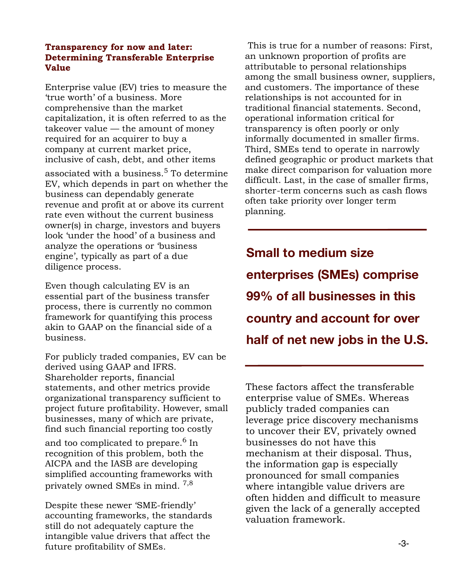#### **Transparency for now and later: Determining Transferable Enterprise Value**

Enterprise value (EV) tries to measure the 'true worth' of a business. More comprehensive than the market capitalization, it is often referred to as the takeover value — the amount of money required for an acquirer to buy a company at current market price, inclusive of cash, debt, and other items

associated with a business.<sup>5</sup> To determine EV, which depends in part on whether the business can dependably generate revenue and profit at or above its current rate even without the current business owner(s) in charge, investors and buyers look 'under the hood' of a business and analyze the operations or 'business engine', typically as part of a due diligence process.

Even though calculating EV is an essential part of the business transfer process, there is currently no common framework for quantifying this process akin to GAAP on the financial side of a business.

For publicly traded companies, EV can be derived using GAAP and IFRS. Shareholder reports, financial statements, and other metrics provide organizational transparency sufficient to project future profitability. However, small businesses, many of which are private, find such financial reporting too costly

and too complicated to prepare.<sup>6</sup> In recognition of this problem, both the AICPA and the IASB are developing simplified accounting frameworks with privately owned SMEs in mind. 7,8

Despite these newer 'SME-friendly' accounting frameworks, the standards still do not adequately capture the intangible value drivers that affect the future profitability of SMEs.

 This is true for a number of reasons: First, an unknown proportion of profits are attributable to personal relationships among the small business owner, suppliers, and customers. The importance of these relationships is not accounted for in traditional financial statements. Second, operational information critical for transparency is often poorly or only informally documented in smaller firms. Third, SMEs tend to operate in narrowly defined geographic or product markets that make direct comparison for valuation more difficult. Last, in the case of smaller firms, shorter-term concerns such as cash flows often take priority over longer term planning.

**Small to medium size enterprises (SMEs) comprise 99% of all businesses in this country and account for over half of net new jobs in the U.S.**

These factors affect the transferable enterprise value of SMEs. Whereas publicly traded companies can leverage price discovery mechanisms to uncover their EV, privately owned businesses do not have this mechanism at their disposal. Thus, the information gap is especially pronounced for small companies where intangible value drivers are often hidden and difficult to measure given the lack of a generally accepted valuation framework.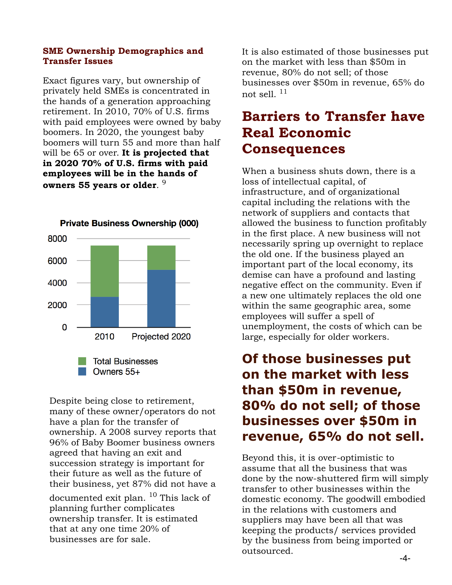#### **SME Ownership Demographics and Transfer Issues**

Exact figures vary, but ownership of privately held SMEs is concentrated in the hands of a generation approaching retirement. In 2010, 70% of U.S. firms with paid employees were owned by baby boomers. In 2020, the youngest baby boomers will turn 55 and more than half will be 65 or over. **It is projected that in 2020 70% of U.S. firms with paid employees will be in the hands of owners 55 years or older**. 9



Despite being close to retirement, many of these owner/operators do not have a plan for the transfer of ownership. A 2008 survey reports that 96% of Baby Boomer business owners agreed that having an exit and succession strategy is important for their future as well as the future of their business, yet 87% did not have a documented exit plan. <sup>10</sup> This lack of planning further complicates ownership transfer. It is estimated that at any one time 20% of businesses are for sale.

It is also estimated of those businesses put on the market with less than \$50m in revenue, 80% do not sell; of those businesses over \$50m in revenue, 65% do not sell. 11

## **Barriers to Transfer have Real Economic Consequences**

When a business shuts down, there is a loss of intellectual capital, of infrastructure, and of organizational capital including the relations with the network of suppliers and contacts that allowed the business to function profitably in the first place. A new business will not necessarily spring up overnight to replace the old one. If the business played an important part of the local economy, its demise can have a profound and lasting negative effect on the community. Even if a new one ultimately replaces the old one within the same geographic area, some employees will suffer a spell of unemployment, the costs of which can be large, especially for older workers.

## **Of those businesses put on the market with less than \$50m in revenue, 80% do not sell; of those businesses over \$50m in revenue, 65% do not sell.**

Beyond this, it is over-optimistic to assume that all the business that was done by the now-shuttered firm will simply transfer to other businesses within the domestic economy. The goodwill embodied in the relations with customers and suppliers may have been all that was keeping the products/ services provided by the business from being imported or outsourced.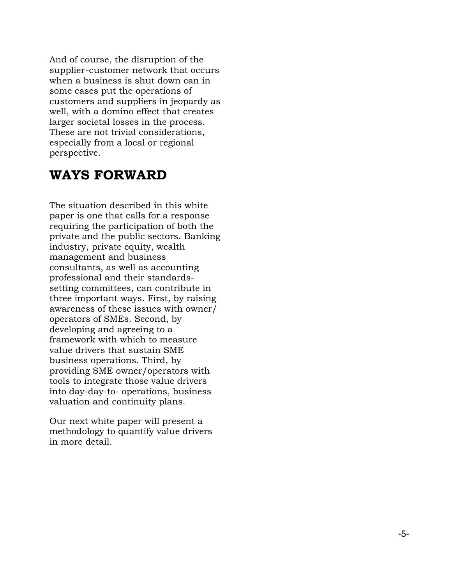And of course, the disruption of the supplier-customer network that occurs when a business is shut down can in some cases put the operations of customers and suppliers in jeopardy as well, with a domino effect that creates larger societal losses in the process. These are not trivial considerations, especially from a local or regional perspective.

### **WAYS FORWARD**

The situation described in this white paper is one that calls for a response requiring the participation of both the private and the public sectors. Banking industry, private equity, wealth management and business consultants, as well as accounting professional and their standardssetting committees, can contribute in three important ways. First, by raising awareness of these issues with owner/ operators of SMEs. Second, by developing and agreeing to a framework with which to measure value drivers that sustain SME business operations. Third, by providing SME owner/operators with tools to integrate those value drivers into day-day-to- operations, business valuation and continuity plans.

Our next white paper will present a methodology to quantify value drivers in more detail.